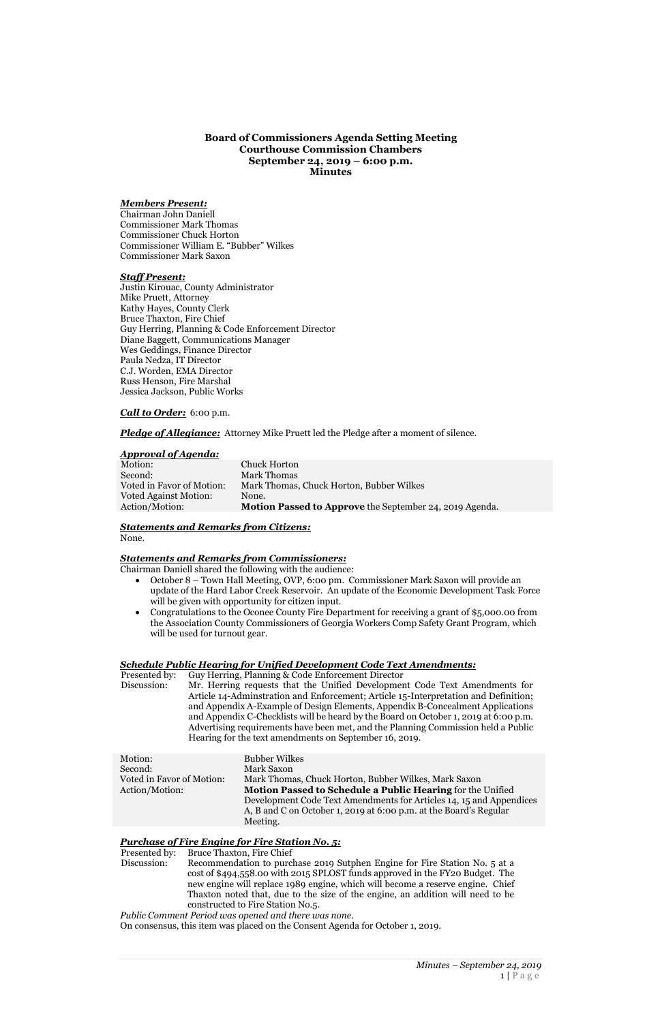**Board of Commissioners Agenda Setting Meeting Courthouse Commission Chambers September 24, 2019 – 6:00 p.m. Minutes**

#### *Members Present:*

Chairman John Daniell Commissioner Mark Thomas Commissioner Chuck Horton Commissioner William E. "Bubber" Wilkes Commissioner Mark Saxon

#### *Staff Present:*

Justin Kirouac, County Administrator Mike Pruett, Attorney Kathy Hayes, County Clerk Bruce Thaxton, Fire Chief Guy Herring, Planning & Code Enforcement Director Diane Baggett, Communications Manager Wes Geddings, Finance Director Paula Nedza, IT Director C.J. Worden, EMA Director Russ Henson, Fire Marshal Jessica Jackson, Public Works

### *Call to Order:* 6:00 p.m.

*Pledge of Allegiance:* Attorney Mike Pruett led the Pledge after a moment of silence.

#### *Approval of Agenda:*

| Motion:                      | Chuck Horton                                            |
|------------------------------|---------------------------------------------------------|
| Second:                      | Mark Thomas                                             |
| Voted in Favor of Motion:    | Mark Thomas, Chuck Horton, Bubber Wilkes                |
| <b>Voted Against Motion:</b> | None.                                                   |
| Action/Motion:               | Motion Passed to Approve the September 24, 2019 Agenda. |

# *Statements and Remarks from Citizens:*

None.

#### *Statements and Remarks from Commissioners:*

Chairman Daniell shared the following with the audience:

- October 8 Town Hall Meeting, OVP, 6:00 pm. Commissioner Mark Saxon will provide an update of the Hard Labor Creek Reservoir. An update of the Economic Development Task Force will be given with opportunity for citizen input.
- Congratulations to the Oconee County Fire Department for receiving a grant of \$5,000.00 from the Association County Commissioners of Georgia Workers Comp Safety Grant Program, which will be used for turnout gear.

# *Schedule Public Hearing for Unified Development Code Text Amendments:*

Presented by: Guy Herring, Planning & Code Enforcement Director Discussion: Mr. Herring requests that the Unified Development Code Text Amendments for Article 14-Adminstration and Enforcement; Article 15-Interpretation and Definition; and Appendix A-Example of Design Elements, Appendix B-Concealment Applications and Appendix C-Checklists will be heard by the Board on October 1, 2019 at 6:00 p.m. Advertising requirements have been met, and the Planning Commission held a Public Hearing for the text amendments on September 16, 2019.

Motion: Bubber Wilkes Second: Mark Saxon Voted in Favor of Motion: Mark Thomas, Chuck Horton, Bubber Wilkes, Mark Saxon Action/Motion: **Motion Passed to Schedule a Public Hearing** for the Unified Development Code Text Amendments for Articles 14, 15 and Appendices A, B and C on October 1, 2019 at 6:00 p.m. at the Board's Regular Meeting.

# *Purchase of Fire Engine for Fire Station No. 5:*

Presented by: Bruce Thaxton, Fire Chief

Discussion: Recommendation to purchase 2019 Sutphen Engine for Fire Station No. 5 at a cost of \$494,558.00 with 2015 SPLOST funds approved in the FY20 Budget. The new engine will replace 1989 engine, which will become a reserve engine. Chief Thaxton noted that, due to the size of the engine, an addition will need to be constructed to Fire Station No.5.

*Public Comment Period was opened and there was none.*

On consensus, this item was placed on the Consent Agenda for October 1, 2019.

*Minutes – September 24, 2019*  $1 | P \text{age}$